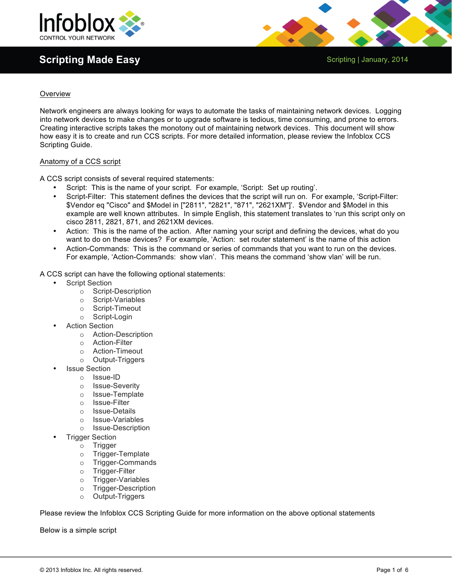

# **Scripting Made Easy Scripting | January, 2014 Scripting | January, 2014**



#### Overview

Network engineers are always looking for ways to automate the tasks of maintaining network devices. Logging into network devices to make changes or to upgrade software is tedious, time consuming, and prone to errors. Creating interactive scripts takes the monotony out of maintaining network devices. This document will show how easy it is to create and run CCS scripts. For more detailed information, please review the Infoblox CCS Scripting Guide.

#### Anatomy of a CCS script

A CCS script consists of several required statements:

- Script: This is the name of your script. For example, 'Script: Set up routing'.
- Script-Filter: This statement defines the devices that the script will run on. For example, 'Script-Filter: \$Vendor eq "Cisco" and \$Model in ["2811", "2821", "871", "2621XM"]'. \$Vendor and \$Model in this example are well known attributes. In simple English, this statement translates to 'run this script only on cisco 2811, 2821, 871, and 2621XM devices.
- Action: This is the name of the action. After naming your script and defining the devices, what do you want to do on these devices? For example, 'Action: set router statement' is the name of this action
- Action-Commands: This is the command or series of commands that you want to run on the devices. For example, 'Action-Commands: show vlan'. This means the command 'show vlan' will be run.

A CCS script can have the following optional statements:

- Script Section
	- o Script-Description
	- o Script-Variables
	- o Script-Timeout
	- o Script-Login
- **Action Section** 
	- o Action-Description
	- o Action-Filter
	- o Action-Timeout
	- o Output-Triggers
- **Issue Section** 
	- o Issue-ID
	- o Issue-Severity
	- o Issue-Template
	- o Issue-Filter
	- o Issue-Details
	- o Issue-Variables
	- o Issue-Description
- **Trigger Section** 
	- o Trigger
	- o Trigger-Template
	- o Trigger-Commands
	- o Trigger-Filter
	- o Trigger-Variables
	- o Trigger-Description
	- o Output-Triggers

Please review the Infoblox CCS Scripting Guide for more information on the above optional statements

Below is a simple script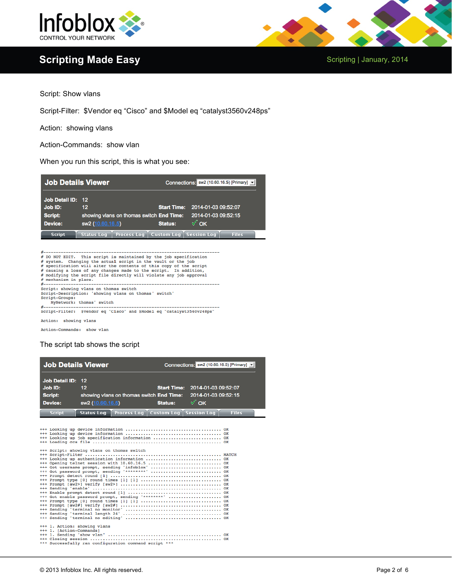

## **Scripting Made Easy Scripting | January, 2014**



Script: Show vlans

Script-Filter: \$Vendor eq "Cisco" and \$Model eq "catalyst3560v248ps"

Action: showing vlans

Action-Commands: show vlan

When you run this script, this is what you see:

| <b>Job Details Viewer</b>                      |                                                                                 |                | Connections: sw2 (10.60.16.5) [Primary] $\mathbf{v}$   |
|------------------------------------------------|---------------------------------------------------------------------------------|----------------|--------------------------------------------------------|
| Job Detail ID: 12<br>Job ID:<br><b>Script:</b> | 12<br>showing vlans on thomas switch End Time:                                  |                | Start Time: 2014-01-03 09:52:07<br>2014-01-03 09:52:15 |
| Device:<br><b>Script</b>                       | sw2 (10.60.16.5)<br>Process Log   Custom Log   Session Log<br><b>Status Log</b> | <b>Status:</b> | √ ok<br><b>Files</b>                                   |



Action-Commands: show vlan

The script tab shows the script

| <b>Job Details Viewer</b>                                                                                                                                                                                                                                                                                                                                                          |                              |  |                                                     | Connections: sw2 (10.60.16.5) [Primary] -                               |              |  |
|------------------------------------------------------------------------------------------------------------------------------------------------------------------------------------------------------------------------------------------------------------------------------------------------------------------------------------------------------------------------------------|------------------------------|--|-----------------------------------------------------|-------------------------------------------------------------------------|--------------|--|
| <b>Job Detail ID:</b><br>Job ID:<br><b>Script:</b><br>Device:                                                                                                                                                                                                                                                                                                                      | 12<br>12<br>sw2 (10.60.16.5) |  | showing vlans on thomas switch End Time:<br>Status: | Start Time: 2014-01-03 09:52:07<br>2014-01-03 09:52:15<br>$\sqrt{2}$ OK |              |  |
| Script                                                                                                                                                                                                                                                                                                                                                                             | <b>Status Log</b>            |  | Process Log   Custom Log   Session Log              |                                                                         | <b>Files</b> |  |
| +++ Looking up job specification information  OK<br>+++ Script: showing vlans on thomas switch<br>+++ Opening telnet session with 10.60.16.5  OK<br>+++ Got username prompt, sending 'infoblox'  OK<br>+++ Got enable password prompt, sending '********'  OK<br>+++ 1. Action: showing vlans<br>+++ 1. [Action-Commands]<br>*** Successfully ran configuration command script *** |                              |  |                                                     |                                                                         |              |  |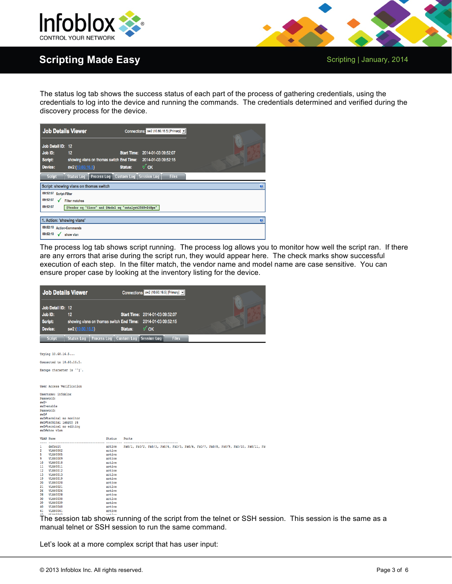



## **Scripting Made Easy Scripting | January, 2014 Scripting | January, 2014**

The status log tab shows the success status of each part of the process of gathering credentials, using the credentials to log into the device and running the commands. The credentials determined and verified during the discovery process for the device.

| <b>Job Details Viewer</b>                                     |                                                                          | Connections: sw2 (10.60.16.5) [Primary] v                                           |                       |
|---------------------------------------------------------------|--------------------------------------------------------------------------|-------------------------------------------------------------------------------------|-----------------------|
| <b>Job Detail ID:</b><br>Job ID:<br>Script:<br><b>Device:</b> | 12<br>12<br>showing vlans on thomas switch End Time:<br>sw2 (10.60.16.5) | <b>Start Time:</b><br>2014-01-03 09:52:07<br>2014-01-03 09:52:15<br>√ ok<br>Status: |                       |
| Script                                                        | Process Log<br><b>Status Log</b>                                         | <b>Custom Log</b><br><b>Session Log</b><br><b>Files</b>                             |                       |
|                                                               | Script: showing vlans on thomas switch                                   |                                                                                     | $\boldsymbol{\Theta}$ |
| 09:52:07 Script-Filter                                        |                                                                          |                                                                                     |                       |
| 09:52:07<br>✓                                                 | <b>Filter matches</b>                                                    |                                                                                     |                       |
| 09:52:07                                                      | \$Vendor eq "Cisco" and \$Model eq "catalyst3560v248ps"                  |                                                                                     |                       |
|                                                               |                                                                          |                                                                                     |                       |
| 1. Action: 'showing vlans'                                    |                                                                          |                                                                                     | $\boldsymbol{Q}$      |
| 09:52:10 Action-Commands                                      |                                                                          |                                                                                     |                       |
| 09:52:10                                                      | show vlan                                                                |                                                                                     |                       |

The process log tab shows script running. The process log allows you to monitor how well the script ran. If there are any errors that arise during the script run, they would appear here. The check marks show successful execution of each step. In the filter match, the vendor name and model name are case sensitive. You can ensure proper case by looking at the inventory listing for the device.

| <b>Job Details Viewer</b>                                                                                                                                                                                                                                                                                                                                                    |                                                                    |                                                                                                                                                                                         | Connections: sw2 (10.60.16.5) [Primary] -                      |                                                                                    |
|------------------------------------------------------------------------------------------------------------------------------------------------------------------------------------------------------------------------------------------------------------------------------------------------------------------------------------------------------------------------------|--------------------------------------------------------------------|-----------------------------------------------------------------------------------------------------------------------------------------------------------------------------------------|----------------------------------------------------------------|------------------------------------------------------------------------------------|
| Job Detail ID: 12<br>Job ID:<br>Script:<br>Device:                                                                                                                                                                                                                                                                                                                           | 12<br>showing vlans on thomas switch End Time:<br>sw2 (10.60.16.5) | Status:                                                                                                                                                                                 | Start Time: 2014-01-03 09:52:07<br>2014-01-03 09:52:15<br>√ ok |                                                                                    |
| Script                                                                                                                                                                                                                                                                                                                                                                       | <b>Status Log</b><br><b>Process Log</b>                            | Custom Log Session Log                                                                                                                                                                  | <b>Files</b>                                                   |                                                                                    |
|                                                                                                                                                                                                                                                                                                                                                                              |                                                                    |                                                                                                                                                                                         |                                                                |                                                                                    |
| Trying 10.60.16.5                                                                                                                                                                                                                                                                                                                                                            |                                                                    |                                                                                                                                                                                         |                                                                |                                                                                    |
| Connected to 10.60.16.5.                                                                                                                                                                                                                                                                                                                                                     |                                                                    |                                                                                                                                                                                         |                                                                |                                                                                    |
| Escape character is '"]'.                                                                                                                                                                                                                                                                                                                                                    |                                                                    |                                                                                                                                                                                         |                                                                |                                                                                    |
|                                                                                                                                                                                                                                                                                                                                                                              |                                                                    |                                                                                                                                                                                         |                                                                |                                                                                    |
| User Access Verification<br>Username: infoblox<br>Password:<br>sw2<br>sw2>enable<br>Password:<br>sw2#<br>sw2#terminal no monitor<br>sw2#terminal length 24<br>sw2#terminal no editing<br>sw2#show vlan                                                                                                                                                                       |                                                                    |                                                                                                                                                                                         |                                                                |                                                                                    |
| <b>VLAN Name</b>                                                                                                                                                                                                                                                                                                                                                             |                                                                    | <b>Status</b><br>Ports                                                                                                                                                                  |                                                                |                                                                                    |
| default<br>1<br>$\overline{2}$<br><b>VLAN0002</b><br>5<br>VLAN0005<br>9<br>VLAN0009<br>VLAN0010<br>10<br>11<br>VLAN0011<br>12<br>VLAN0012<br>13<br><b>VLAN0013</b><br>19<br>VLAN0019<br>20<br>VLAN0020<br>21<br>VLAN0021<br>26<br>VLAN0026<br>28<br>VLAN0028<br>30<br><b>VLAN0030</b><br>39<br>VLAN0039<br>40<br><b>VLAN0040</b><br>41<br><b>VLAN0041</b><br>٨n<br>UT AMODA? |                                                                    | active<br>active<br>active<br>active<br>active<br>active<br>active<br>active<br>active<br>active<br>active<br>active<br>active<br>active<br>active<br>active<br>active<br>$-0+1$ in $-$ |                                                                | Fa0/1, Fa0/2, Fa0/3, Fa0/4, Fa0/5, Fa0/6, Fa0/7, Fa0/8, Fa0/9, Fa0/10, Fa0/11, Fa( |

The session tab shows running of the script from the telnet or SSH session. This session is the same as a manual telnet or SSH session to run the same command.

Let's look at a more complex script that has user input: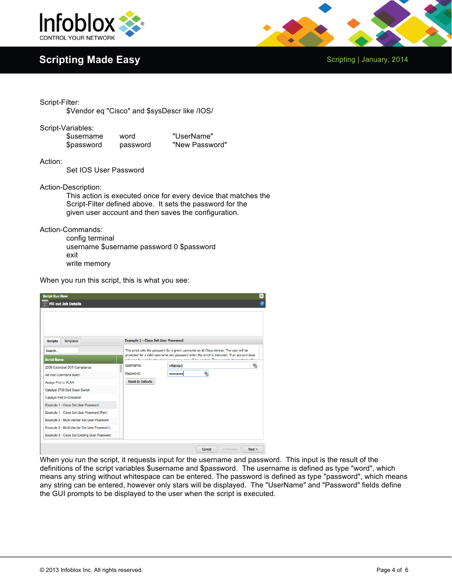

### **Scripting Made Easy Scripting | January, 2014 Scripting | January, 2014**



Script-Filter:

\$Vendor eq "Cisco" and \$sysDescr like /IOS/

Script-Variables:

| \$username | word     | "UserName"     |
|------------|----------|----------------|
| \$password | password | "New Password" |

Action:

Set IOS User Password

Action-Description:

This action is executed once for every device that matches the Script-Filter defined above. It sets the password for the given user account and then saves the configuration.

Action-Commands:

config terminal username \$username password 0 \$password exit write memory

When you run this script, this is what you see:

| <b>Script Run Now</b>                        |  |                                            |                                                                                                                                                                                                      |   |   |
|----------------------------------------------|--|--------------------------------------------|------------------------------------------------------------------------------------------------------------------------------------------------------------------------------------------------------|---|---|
| <b>Fill out Job Details</b>                  |  |                                            |                                                                                                                                                                                                      |   |   |
|                                              |  |                                            |                                                                                                                                                                                                      |   |   |
|                                              |  |                                            |                                                                                                                                                                                                      |   |   |
|                                              |  |                                            |                                                                                                                                                                                                      |   |   |
| <b>Templates</b><br><b>Scripts</b>           |  | <b>Example 1 - Cisco Set User Password</b> |                                                                                                                                                                                                      |   |   |
| Search                                       |  |                                            | This script sets the password for a given username on all Cisco devices. The user will be                                                                                                            |   |   |
| <b>Script Name</b>                           |  |                                            | prompted for a valid username and password when the script is executed. If an account does<br>and almostly active facilities at me commences was will be accepted. This accounts democraticalment at |   |   |
| 2009 Extended DST Compliance                 |  | Username:                                  | infoblox1                                                                                                                                                                                            |   | 嵛 |
| <b>Ad Hoc Command Batch</b>                  |  | Password:                                  |                                                                                                                                                                                                      | 蒿 |   |
| <b>Assign Port to VLAN</b>                   |  | <b>Reset to Defaults</b>                   |                                                                                                                                                                                                      |   |   |
| Catalyst 3750 Bad Stack Switch               |  |                                            |                                                                                                                                                                                                      |   |   |
| <b>Catalyst Port ErrDisabled</b>             |  |                                            |                                                                                                                                                                                                      |   |   |
| Example 1 - Cisco Set User Password          |  |                                            |                                                                                                                                                                                                      |   |   |
| Example 1 - Cisco Set User Password (Perl)   |  |                                            |                                                                                                                                                                                                      |   |   |
| Example 2 - Multi-Vendor Set User Password   |  |                                            |                                                                                                                                                                                                      |   |   |
| Example 2 - Multi-Vendor Set User Password ( |  |                                            |                                                                                                                                                                                                      |   |   |
|                                              |  |                                            |                                                                                                                                                                                                      |   |   |

When you run the script, it requests input for the username and password. This input is the result of the definitions of the script variables \$username and \$password. The username is defined as type "word", which means any string without whitespace can be entered. The password is defined as type "password", which means any string can be entered, however only stars will be displayed. The "UserName" and "Password" fields define the GUI prompts to be displayed to the user when the script is executed.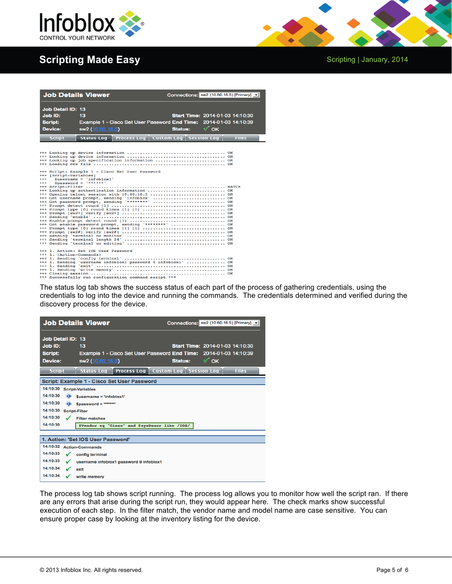

# **Scripting Made Easy Scripting | January, 2014**



|                   |                                                           | <b>Job Details Viewer</b>                          |                                                                                                                                                      |                |      | Connections: sw2 (10.60.16.5) [Primary]                |
|-------------------|-----------------------------------------------------------|----------------------------------------------------|------------------------------------------------------------------------------------------------------------------------------------------------------|----------------|------|--------------------------------------------------------|
|                   | Job Detail ID: 13<br>Job ID:<br><b>Script:</b><br>Device: | 13<br>sw2 (10.60.16.5)                             | Example 1 - Cisco Set User Password End Time:                                                                                                        | <b>Status:</b> | ° oк | Start Time: 2014-01-03 14:10:30<br>2014-01-03 14:10:39 |
|                   | <b>Script</b>                                             | <b>Status Log</b>                                  | Process Log   Custom Log   Session Log                                                                                                               |                |      | <b>Files</b>                                           |
| $***$<br>$^{***}$ | +++ [Script-Variables]                                    | $Susername = 'infoblov1'$<br>$$password = '*****'$ | +++ Looking up job specification information  OK<br>+++ Script: Example 1 - Cisco Set User Password<br>+++ Looking up authentication information  OK |                |      |                                                        |
|                   |                                                           |                                                    | +++ Opening telnet session with 10.60.16.5  OK<br>+++ Got username prompt, sending 'infoblox'  OK                                                    |                |      |                                                        |
|                   |                                                           |                                                    | +++ Got enable password prompt, sending '********'  OK                                                                                               |                |      |                                                        |
|                   | +++ 1. [Action-Commands]                                  | +++ 1. Action: Set IOS User Password               | +++ 1. Sending 'username infoblox1 password 0 infoblox1'  OK<br>*** Successfully ran configuration command script ***                                |                |      |                                                        |

The status log tab shows the success status of each part of the process of gathering credentials, using the credentials to log into the device and running the commands. The credentials determined and verified during the discovery process for the device.

| <b>Job Details Viewer</b><br>Connections: sw2 (10.60.16.5) [Primary] v                                                                                                                                         |  |  |  |  |  |
|----------------------------------------------------------------------------------------------------------------------------------------------------------------------------------------------------------------|--|--|--|--|--|
| <b>Job Detail ID: 13</b><br>Job ID:<br>13<br>Start Time: 2014-01-03 14:10:30<br>Example 1 - Cisco Set User Password End Time: 2014-01-03 14:10:39<br>Script:<br>√⁄ок<br>Device:<br>sw2 (10.60.16.5)<br>Status: |  |  |  |  |  |
| Process Log   Custom Log   Session Log<br>Status Log<br><b>Files</b><br><b>Script</b>                                                                                                                          |  |  |  |  |  |
| Script: Example 1 - Cisco Set User Password                                                                                                                                                                    |  |  |  |  |  |
| 14:10:30 Script-Variables                                                                                                                                                                                      |  |  |  |  |  |
| 14:10:30<br>$\bigcirc$<br>Susername = 'infoblox1'                                                                                                                                                              |  |  |  |  |  |
| 14:10:30<br>Spassword = "******"                                                                                                                                                                               |  |  |  |  |  |
| 14:10:30 Script-Filter                                                                                                                                                                                         |  |  |  |  |  |
| 14:10:30<br>$\epsilon$<br><b>Filter matches</b>                                                                                                                                                                |  |  |  |  |  |
| 14:10:30<br>\$Vendor eq "Cisco" and \$sysDescr like /IOS/                                                                                                                                                      |  |  |  |  |  |
|                                                                                                                                                                                                                |  |  |  |  |  |
| 1. Action: 'Set IOS User Password'                                                                                                                                                                             |  |  |  |  |  |
| 14:10:32 Action-Commands                                                                                                                                                                                       |  |  |  |  |  |
| 14:10:33<br>$\checkmark$ config terminal                                                                                                                                                                       |  |  |  |  |  |
| 14:10:33 V username infoblox1 password 0 infoblox1                                                                                                                                                             |  |  |  |  |  |
| 14:10:34 $\checkmark$<br>exit                                                                                                                                                                                  |  |  |  |  |  |
| 14:10:34<br>write memory                                                                                                                                                                                       |  |  |  |  |  |

The process log tab shows script running. The process log allows you to monitor how well the script ran. If there are any errors that arise during the script run, they would appear here. The check marks show successful execution of each step. In the filter match, the vendor name and model name are case sensitive. You can ensure proper case by looking at the inventory listing for the device.